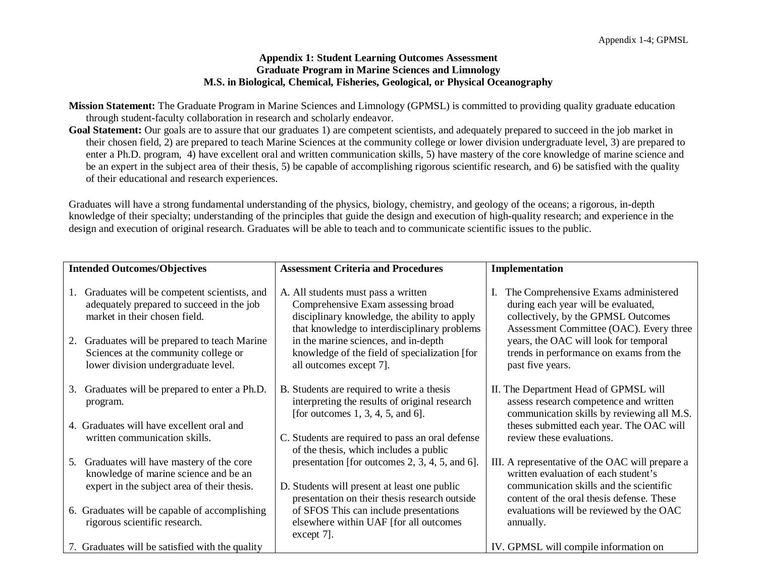## **Appendix 1: Student Learning Outcomes Assessment Graduate Program in Marine Sciences and Limnology M.S. in Biological, Chemical, Fisheries, Geological, or Physical Oceanography**

- **Mission Statement:** The Graduate Program in Marine Sciences and Limnology (GPMSL) is committed to providing quality graduate education through student-faculty collaboration in research and scholarly endeavor.
- **Goal Statement:** Our goals are to assure that our graduates 1) are competent scientists, and adequately prepared to succeed in the job market in their chosen field, 2) are prepared to teach Marine Sciences at the community college or lower division undergraduate level, 3) are prepared to enter a Ph.D. program, 4) have excellent oral and written communication skills, 5) have mastery of the core knowledge of marine science and be an expert in the subject area of their thesis, 5) be capable of accomplishing rigorous scientific research, and 6) be satisfied with the quality of their educational and research experiences.

Graduates will have a strong fundamental understanding of the physics, biology, chemistry, and geology of the oceans; a rigorous, in-depth knowledge of their specialty; understanding of the principles that guide the design and execution of high-quality research; and experience in the design and execution of original research. Graduates will be able to teach and to communicate scientific issues to the public.

| <b>Intended Outcomes/Objectives</b> |                                                                                                                               | <b>Assessment Criteria and Procedures</b>                                                                                                                                         | Implementation                                                                                                                                                |
|-------------------------------------|-------------------------------------------------------------------------------------------------------------------------------|-----------------------------------------------------------------------------------------------------------------------------------------------------------------------------------|---------------------------------------------------------------------------------------------------------------------------------------------------------------|
| 1.                                  | Graduates will be competent scientists, and<br>adequately prepared to succeed in the job<br>market in their chosen field.     | A. All students must pass a written<br>Comprehensive Exam assessing broad<br>disciplinary knowledge, the ability to apply<br>that knowledge to interdisciplinary problems         | The Comprehensive Exams administered<br>during each year will be evaluated,<br>collectively, by the GPMSL Outcomes<br>Assessment Committee (OAC). Every three |
| 2.                                  | Graduates will be prepared to teach Marine<br>Sciences at the community college or<br>lower division undergraduate level.     | in the marine sciences, and in-depth<br>knowledge of the field of specialization [for<br>all outcomes except 7].                                                                  | years, the OAC will look for temporal<br>trends in performance on exams from the<br>past five years.                                                          |
| 3.                                  | Graduates will be prepared to enter a Ph.D.<br>program.                                                                       | B. Students are required to write a thesis<br>interpreting the results of original research<br>[for outcomes $1, 3, 4, 5,$ and 6].                                                | II. The Department Head of GPMSL will<br>assess research competence and written<br>communication skills by reviewing all M.S.                                 |
|                                     | 4. Graduates will have excellent oral and<br>written communication skills.                                                    | C. Students are required to pass an oral defense<br>of the thesis, which includes a public                                                                                        | theses submitted each year. The OAC will<br>review these evaluations.                                                                                         |
| 5.                                  | Graduates will have mastery of the core<br>knowledge of marine science and be an                                              | presentation [for outcomes $2, 3, 4, 5,$ and 6].                                                                                                                                  | III. A representative of the OAC will prepare a<br>written evaluation of each student's                                                                       |
|                                     | expert in the subject area of their thesis.<br>6. Graduates will be capable of accomplishing<br>rigorous scientific research. | D. Students will present at least one public<br>presentation on their thesis research outside<br>of SFOS This can include presentations<br>elsewhere within UAF [for all outcomes | communication skills and the scientific<br>content of the oral thesis defense. These<br>evaluations will be reviewed by the OAC<br>annually.                  |
|                                     | 7. Graduates will be satisfied with the quality                                                                               | $except 7$ ].                                                                                                                                                                     | IV. GPMSL will compile information on                                                                                                                         |